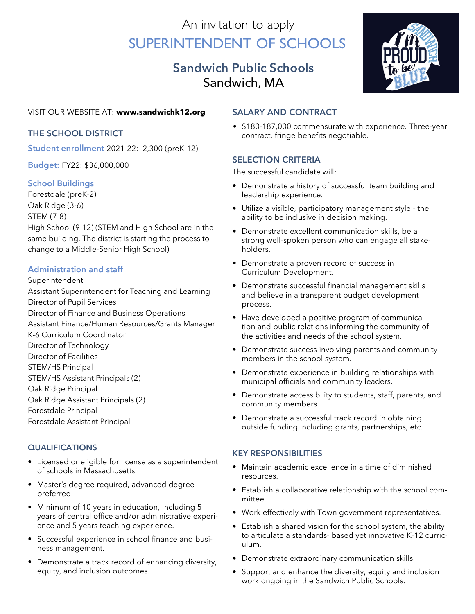# An invitation to apply Superintendent of Schools

## **Sandwich Public Schools** Sandwich, MA



#### VISIT OUR WEBSITE AT: **www.sandwichk12.org**

**Student enrollment** 2021-22: 2,300 (preK-12)

**Budget:** FY22: \$36,000,000

#### **School Buildings**

Forestdale (preK-2) Oak Ridge (3-6)

#### STEM (7-8)

High School (9-12) (STEM and High School are in the same building. The district is starting the process to change to a Middle-Senior High School)

#### **Administration and staff**

#### Superintendent

Assistant Superintendent for Teaching and Learning Director of Pupil Services Director of Finance and Business Operations Assistant Finance/Human Resources/Grants Manager K-6 Curriculum Coordinator Director of Technology Director of Facilities STEM/HS Principal STEM/HS Assistant Principals (2) Oak Ridge Principal Oak Ridge Assistant Principals (2) Forestdale Principal Forestdale Assistant Principal

#### **qualifications**

- Licensed or eligible for license as a superintendent of schools in Massachusetts.
- Master's degree required, advanced degree preferred.
- Minimum of 10 years in education, including 5 years of central office and/or administrative experience and 5 years teaching experience.
- Successful experience in school finance and business management.
- Demonstrate a track record of enhancing diversity, equity, and inclusion outcomes.

#### **Salary and Contract**

• \$180-187,000 commensurate with experience. Three-year<br> **THE SCHOOL DISTRICT** contract, fringe benefits negotiable.

### **SELECTION CRITERIA**

The successful candidate will:

- Demonstrate a history of successful team building and leadership experience.
- Utilize a visible, participatory management style the ability to be inclusive in decision making.
- Demonstrate excellent communication skills, be a strong well-spoken person who can engage all stakeholders.
- Demonstrate a proven record of success in Curriculum Development.
- Demonstrate successful financial management skills and believe in a transparent budget development process.
- Have developed a positive program of communication and public relations informing the community of the activities and needs of the school system.
- Demonstrate success involving parents and community members in the school system.
- Demonstrate experience in building relationships with municipal officials and community leaders.
- Demonstrate accessibility to students, staff, parents, and community members.
- Demonstrate a successful track record in obtaining outside funding including grants, partnerships, etc.

#### **KEY RESPONSIBILITIES**

- Maintain academic excellence in a time of diminished resources.
- Establish a collaborative relationship with the school committee.
- Work effectively with Town government representatives.
- Establish a shared vision for the school system, the ability to articulate a standards- based yet innovative K-12 curriculum.
- Demonstrate extraordinary communication skills.
- Support and enhance the diversity, equity and inclusion work ongoing in the Sandwich Public Schools.